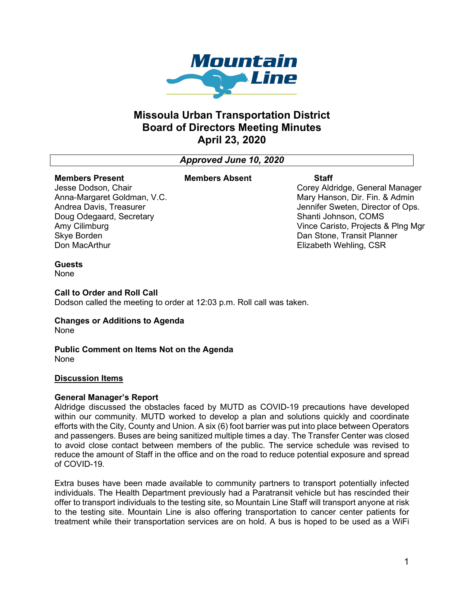

# **Missoula Urban Transportation District Board of Directors Meeting Minutes April 23, 2020**

*Approved June 10, 2020*

#### **Members Present** Jesse Dodson, Chair

Amy Cilimburg Skye Borden Don MacArthur

# **Members Absent Staff**

Corey Aldridge, General Manager Mary Hanson, Dir. Fin. & Admin Jennifer Sweten, Director of Ops. Shanti Johnson, COMS Vince Caristo, Projects & Plng Mgr Dan Stone, Transit Planner

Elizabeth Wehling, CSR

# **Guests**

None

**Call to Order and Roll Call**

Anna-Margaret Goldman, V.C. Andrea Davis, Treasurer Doug Odegaard, Secretary

Dodson called the meeting to order at 12:03 p.m. Roll call was taken.

#### **Changes or Additions to Agenda** None

**Public Comment on Items Not on the Agenda** None

### **Discussion Items**

### **General Manager's Report**

Aldridge discussed the obstacles faced by MUTD as COVID-19 precautions have developed within our community. MUTD worked to develop a plan and solutions quickly and coordinate efforts with the City, County and Union. A six (6) foot barrier was put into place between Operators and passengers. Buses are being sanitized multiple times a day. The Transfer Center was closed to avoid close contact between members of the public. The service schedule was revised to reduce the amount of Staff in the office and on the road to reduce potential exposure and spread of COVID-19.

Extra buses have been made available to community partners to transport potentially infected individuals. The Health Department previously had a Paratransit vehicle but has rescinded their offer to transport individuals to the testing site, so Mountain Line Staff will transport anyone at risk to the testing site. Mountain Line is also offering transportation to cancer center patients for treatment while their transportation services are on hold. A bus is hoped to be used as a WiFi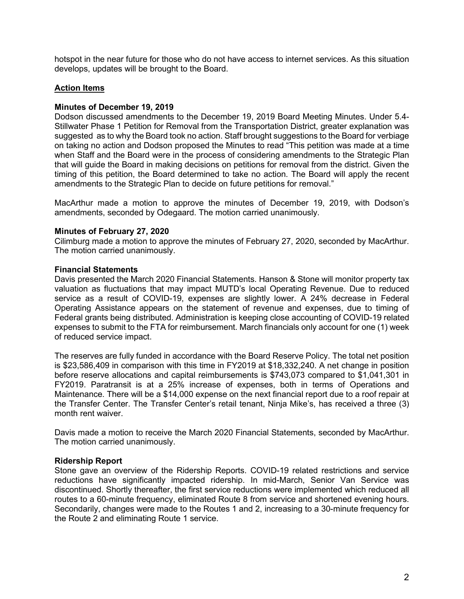hotspot in the near future for those who do not have access to internet services. As this situation develops, updates will be brought to the Board.

# **Action Items**

# **Minutes of December 19, 2019**

Dodson discussed amendments to the December 19, 2019 Board Meeting Minutes. Under 5.4- Stillwater Phase 1 Petition for Removal from the Transportation District, greater explanation was suggested as to why the Board took no action. Staff brought suggestions to the Board for verbiage on taking no action and Dodson proposed the Minutes to read "This petition was made at a time when Staff and the Board were in the process of considering amendments to the Strategic Plan that will guide the Board in making decisions on petitions for removal from the district. Given the timing of this petition, the Board determined to take no action. The Board will apply the recent amendments to the Strategic Plan to decide on future petitions for removal."

MacArthur made a motion to approve the minutes of December 19, 2019, with Dodson's amendments, seconded by Odegaard. The motion carried unanimously.

# **Minutes of February 27, 2020**

Cilimburg made a motion to approve the minutes of February 27, 2020, seconded by MacArthur. The motion carried unanimously.

### **Financial Statements**

Davis presented the March 2020 Financial Statements. Hanson & Stone will monitor property tax valuation as fluctuations that may impact MUTD's local Operating Revenue. Due to reduced service as a result of COVID-19, expenses are slightly lower. A 24% decrease in Federal Operating Assistance appears on the statement of revenue and expenses, due to timing of Federal grants being distributed. Administration is keeping close accounting of COVID-19 related expenses to submit to the FTA for reimbursement. March financials only account for one (1) week of reduced service impact.

The reserves are fully funded in accordance with the Board Reserve Policy. The total net position is \$23,586,409 in comparison with this time in FY2019 at \$18,332,240. A net change in position before reserve allocations and capital reimbursements is \$743,073 compared to \$1,041,301 in FY2019. Paratransit is at a 25% increase of expenses, both in terms of Operations and Maintenance. There will be a \$14,000 expense on the next financial report due to a roof repair at the Transfer Center. The Transfer Center's retail tenant, Ninja Mike's, has received a three (3) month rent waiver.

Davis made a motion to receive the March 2020 Financial Statements, seconded by MacArthur. The motion carried unanimously.

### **Ridership Report**

Stone gave an overview of the Ridership Reports. COVID-19 related restrictions and service reductions have significantly impacted ridership. In mid-March, Senior Van Service was discontinued. Shortly thereafter, the first service reductions were implemented which reduced all routes to a 60-minute frequency, eliminated Route 8 from service and shortened evening hours. Secondarily, changes were made to the Routes 1 and 2, increasing to a 30-minute frequency for the Route 2 and eliminating Route 1 service.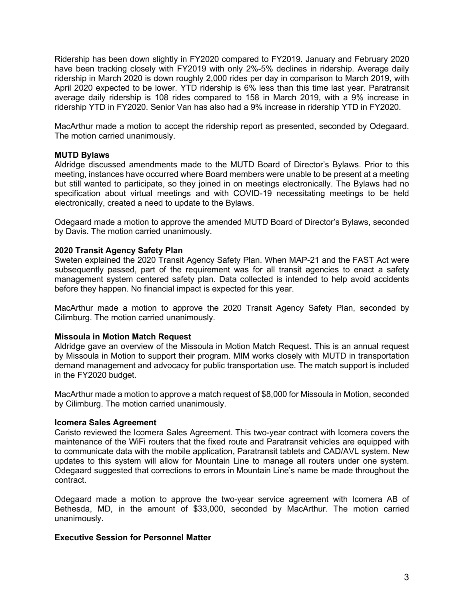Ridership has been down slightly in FY2020 compared to FY2019. January and February 2020 have been tracking closely with FY2019 with only 2%-5% declines in ridership. Average daily ridership in March 2020 is down roughly 2,000 rides per day in comparison to March 2019, with April 2020 expected to be lower. YTD ridership is 6% less than this time last year. Paratransit average daily ridership is 108 rides compared to 158 in March 2019, with a 9% increase in ridership YTD in FY2020. Senior Van has also had a 9% increase in ridership YTD in FY2020.

MacArthur made a motion to accept the ridership report as presented, seconded by Odegaard. The motion carried unanimously.

# **MUTD Bylaws**

Aldridge discussed amendments made to the MUTD Board of Director's Bylaws. Prior to this meeting, instances have occurred where Board members were unable to be present at a meeting but still wanted to participate, so they joined in on meetings electronically. The Bylaws had no specification about virtual meetings and with COVID-19 necessitating meetings to be held electronically, created a need to update to the Bylaws.

Odegaard made a motion to approve the amended MUTD Board of Director's Bylaws, seconded by Davis. The motion carried unanimously.

# **2020 Transit Agency Safety Plan**

Sweten explained the 2020 Transit Agency Safety Plan. When MAP-21 and the FAST Act were subsequently passed, part of the requirement was for all transit agencies to enact a safety management system centered safety plan. Data collected is intended to help avoid accidents before they happen. No financial impact is expected for this year.

MacArthur made a motion to approve the 2020 Transit Agency Safety Plan, seconded by Cilimburg. The motion carried unanimously.

### **Missoula in Motion Match Request**

Aldridge gave an overview of the Missoula in Motion Match Request. This is an annual request by Missoula in Motion to support their program. MIM works closely with MUTD in transportation demand management and advocacy for public transportation use. The match support is included in the FY2020 budget.

MacArthur made a motion to approve a match request of \$8,000 for Missoula in Motion, seconded by Cilimburg. The motion carried unanimously.

### **Icomera Sales Agreement**

Caristo reviewed the Icomera Sales Agreement. This two-year contract with Icomera covers the maintenance of the WiFi routers that the fixed route and Paratransit vehicles are equipped with to communicate data with the mobile application, Paratransit tablets and CAD/AVL system. New updates to this system will allow for Mountain Line to manage all routers under one system. Odegaard suggested that corrections to errors in Mountain Line's name be made throughout the contract.

Odegaard made a motion to approve the two-year service agreement with Icomera AB of Bethesda, MD, in the amount of \$33,000, seconded by MacArthur. The motion carried unanimously.

### **Executive Session for Personnel Matter**